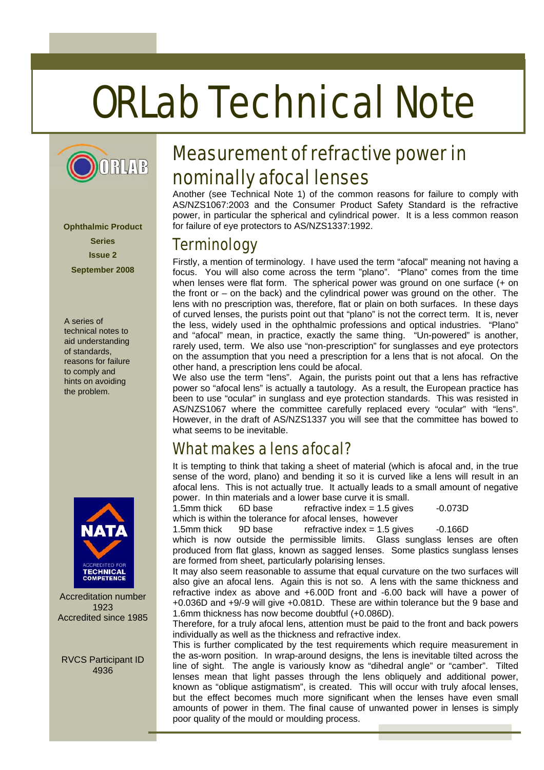# ORLab Technical Note



**Ophthalmic Product Series Issue 2 September 2008** 

A series of technical notes to aid understanding of standards, reasons for failure to comply and hints on avoiding the problem.



Accreditation number 1923 Accredited since 1985

RVCS Participant ID 4936

# Measurement of refractive power in nominally afocal lenses

Another (see Technical Note 1) of the common reasons for failure to comply with AS/NZS1067:2003 and the Consumer Product Safety Standard is the refractive power, in particular the spherical and cylindrical power. It is a less common reason for failure of eye protectors to AS/NZS1337:1992.

### **Terminology**

Firstly, a mention of terminology. I have used the term "afocal" meaning not having a focus. You will also come across the term "plano". "Plano" comes from the time when lenses were flat form. The spherical power was ground on one surface (+ on the front or – on the back) and the cylindrical power was ground on the other. The lens with no prescription was, therefore, flat or plain on both surfaces. In these days of curved lenses, the purists point out that "plano" is not the correct term. It is, never the less, widely used in the ophthalmic professions and optical industries. "Plano" and "afocal" mean, in practice, exactly the same thing. "Un-powered" is another, rarely used, term. We also use "non-prescription" for sunglasses and eye protectors on the assumption that you need a prescription for a lens that is not afocal. On the other hand, a prescription lens could be afocal.

We also use the term "lens". Again, the purists point out that a lens has refractive power so "afocal lens" is actually a tautology. As a result, the European practice has been to use "ocular" in sunglass and eye protection standards. This was resisted in AS/NZS1067 where the committee carefully replaced every "ocular" with "lens". However, in the draft of AS/NZS1337 you will see that the committee has bowed to what seems to be inevitable.

# What makes a lens afocal?

It is tempting to think that taking a sheet of material (which is afocal and, in the true sense of the word, plano) and bending it so it is curved like a lens will result in an afocal lens. This is not actually true. It actually leads to a small amount of negative power. In thin materials and a lower base curve it is small.

1.5mm thick 6D base refractive index = 1.5 gives -0.073D which is within the tolerance for afocal lenses, however

1.5mm thick 9D base refractive index = 1.5 gives -0.166D

which is now outside the permissible limits. Glass sunglass lenses are often produced from flat glass, known as sagged lenses. Some plastics sunglass lenses are formed from sheet, particularly polarising lenses.

It may also seem reasonable to assume that equal curvature on the two surfaces will also give an afocal lens. Again this is not so. A lens with the same thickness and refractive index as above and +6.00D front and -6.00 back will have a power of +0.036D and +9/-9 will give +0.081D. These are within tolerance but the 9 base and 1.6mm thickness has now become doubtful (+0.086D).

Therefore, for a truly afocal lens, attention must be paid to the front and back powers individually as well as the thickness and refractive index.

This is further complicated by the test requirements which require measurement in the as-worn position. In wrap-around designs, the lens is inevitable tilted across the line of sight. The angle is variously know as "dihedral angle" or "camber". Tilted lenses mean that light passes through the lens obliquely and additional power, known as "oblique astigmatism", is created. This will occur with truly afocal lenses, but the effect becomes much more significant when the lenses have even small amounts of power in them. The final cause of unwanted power in lenses is simply poor quality of the mould or moulding process.